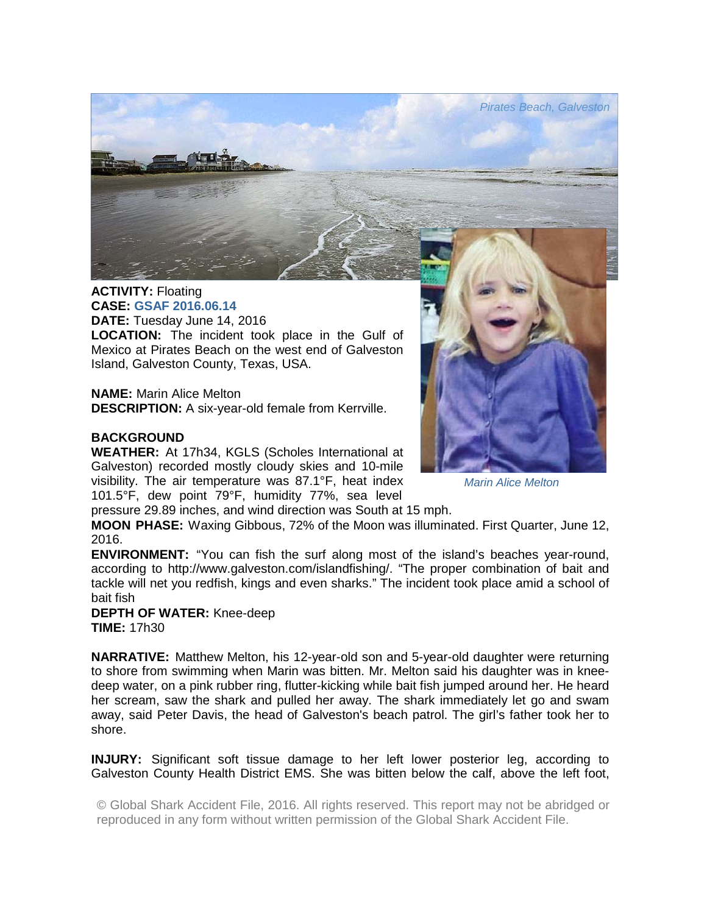

## **ACTIVITY:** Floating **CASE: GSAF 2016.06.14**

**DATE:** Tuesday June 14, 2016 **LOCATION:** The incident took place in the Gulf of Mexico at Pirates Beach on the west end of Galveston Island, Galveston County, Texas, USA.

**NAME:** Marin Alice Melton **DESCRIPTION:** A six-year-old female from Kerrville.

## **BACKGROUND**

**WEATHER:** At 17h34, KGLS (Scholes International at Galveston) recorded mostly cloudy skies and 10-mile visibility. The air temperature was 87.1°F, heat index 101.5°F, dew point 79°F, humidity 77%, sea level

*Marin Alice Melton* 

pressure 29.89 inches, and wind direction was South at 15 mph.

**MOON PHASE:** Waxing Gibbous, 72% of the Moon was illuminated. First Quarter, June 12, 2016.

**ENVIRONMENT:** "You can fish the surf along most of the island's beaches year-round, according to http://www.galveston.com/islandfishing/. "The proper combination of bait and tackle will net you redfish, kings and even sharks." The incident took place amid a school of bait fish

**DEPTH OF WATER:** Knee-deep **TIME:** 17h30

**NARRATIVE:** Matthew Melton, his 12-year-old son and 5-year-old daughter were returning to shore from swimming when Marin was bitten. Mr. Melton said his daughter was in kneedeep water, on a pink rubber ring, flutter-kicking while bait fish jumped around her. He heard her scream, saw the shark and pulled her away. The shark immediately let go and swam away, said Peter Davis, the head of Galveston's beach patrol. The girl's father took her to shore.

**INJURY:** Significant soft tissue damage to her left lower posterior leg, according to Galveston County Health District EMS. She was bitten below the calf, above the left foot,

© Global Shark Accident File, 2016. All rights reserved. This report may not be abridged or reproduced in any form without written permission of the Global Shark Accident File.